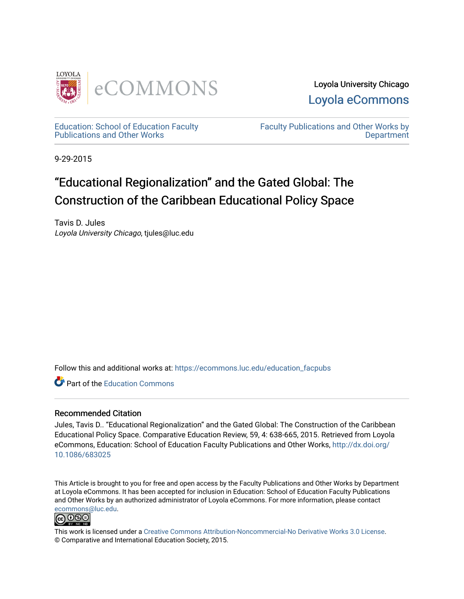



[Education: School of Education Faculty](https://ecommons.luc.edu/education_facpubs)  [Publications and Other Works](https://ecommons.luc.edu/education_facpubs) 

[Faculty Publications and Other Works by](https://ecommons.luc.edu/faculty)  **Department** 

9-29-2015

# "Educational Regionalization" and the Gated Global: The Construction of the Caribbean Educational Policy Space

Tavis D. Jules Loyola University Chicago, tjules@luc.edu

Follow this and additional works at: [https://ecommons.luc.edu/education\\_facpubs](https://ecommons.luc.edu/education_facpubs?utm_source=ecommons.luc.edu%2Feducation_facpubs%2F73&utm_medium=PDF&utm_campaign=PDFCoverPages) 

**C** Part of the [Education Commons](http://network.bepress.com/hgg/discipline/784?utm_source=ecommons.luc.edu%2Feducation_facpubs%2F73&utm_medium=PDF&utm_campaign=PDFCoverPages)

# Recommended Citation

Jules, Tavis D.. "Educational Regionalization" and the Gated Global: The Construction of the Caribbean Educational Policy Space. Comparative Education Review, 59, 4: 638-665, 2015. Retrieved from Loyola eCommons, Education: School of Education Faculty Publications and Other Works, [http://dx.doi.org/](http://dx.doi.org/10.1086/683025) [10.1086/683025](http://dx.doi.org/10.1086/683025)

This Article is brought to you for free and open access by the Faculty Publications and Other Works by Department at Loyola eCommons. It has been accepted for inclusion in Education: School of Education Faculty Publications and Other Works by an authorized administrator of Loyola eCommons. For more information, please contact [ecommons@luc.edu](mailto:ecommons@luc.edu).



This work is licensed under a [Creative Commons Attribution-Noncommercial-No Derivative Works 3.0 License.](https://creativecommons.org/licenses/by-nc-nd/3.0/) © Comparative and International Education Society, 2015.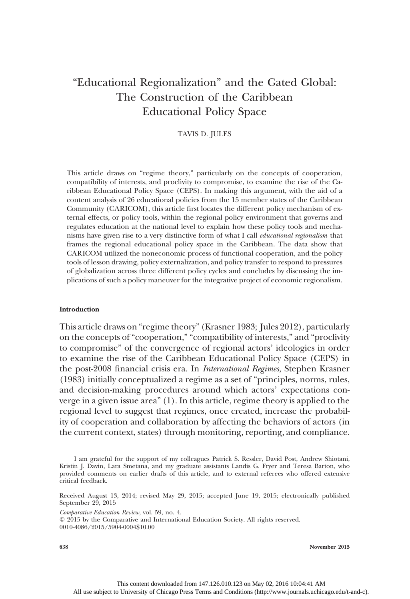# "Educational Regionalization" and the Gated Global: The Construction of the Caribbean Educational Policy Space

# TAVIS D. JULES

This article draws on "regime theory," particularly on the concepts of cooperation, compatibility of interests, and proclivity to compromise, to examine the rise of the Caribbean Educational Policy Space (CEPS). In making this argument, with the aid of a content analysis of 26 educational policies from the 15 member states of the Caribbean Community (CARICOM), this article first locates the different policy mechanism of external effects, or policy tools, within the regional policy environment that governs and regulates education at the national level to explain how these policy tools and mechanisms have given rise to a very distinctive form of what I call educational regionalism that frames the regional educational policy space in the Caribbean. The data show that CARICOM utilized the noneconomic process of functional cooperation, and the policy tools of lesson drawing, policy externalization, and policy transfer to respond to pressures of globalization across three different policy cycles and concludes by discussing the implications of such a policy maneuver for the integrative project of economic regionalism.

#### Introduction

This article draws on "regime theory" (Krasner 1983; Jules 2012), particularly on the concepts of "cooperation," "compatibility of interests," and "proclivity to compromise" of the convergence of regional actors' ideologies in order to examine the rise of the Caribbean Educational Policy Space (CEPS) in the post-2008 financial crisis era. In International Regimes, Stephen Krasner (1983) initially conceptualized a regime as a set of "principles, norms, rules, and decision-making procedures around which actors' expectations converge in a given issue area" (1). In this article, regime theory is applied to the regional level to suggest that regimes, once created, increase the probability of cooperation and collaboration by affecting the behaviors of actors (in the current context, states) through monitoring, reporting, and compliance.

Comparative Education Review, vol. 59, no. 4.

 $Q$  2015 by the Comparative and International Education Society. All rights reserved. 0010-4086/2015/5904-0004\$10.00

I am grateful for the support of my colleagues Patrick S. Ressler, David Post, Andrew Shiotani, Kristin J. Davin, Lara Smetana, and my graduate assistants Landis G. Fryer and Teresa Barton, who provided comments on earlier drafts of this article, and to external referees who offered extensive critical feedback.

Received August 13, 2014; revised May 29, 2015; accepted June 19, 2015; electronically published September 29, 2015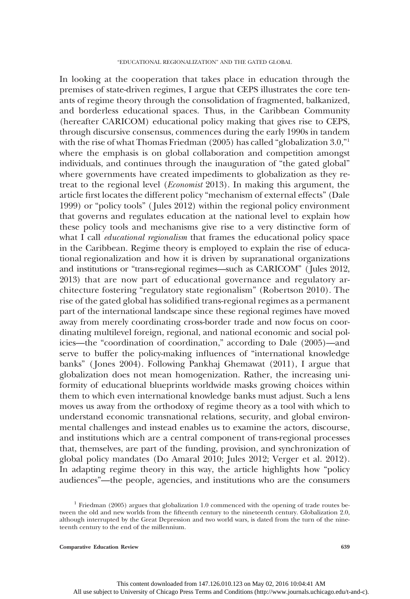In looking at the cooperation that takes place in education through the premises of state-driven regimes, I argue that CEPS illustrates the core tenants of regime theory through the consolidation of fragmented, balkanized, and borderless educational spaces. Thus, in the Caribbean Community (hereafter CARICOM) educational policy making that gives rise to CEPS, through discursive consensus, commences during the early 1990s in tandem with the rise of what Thomas Friedman (2005) has called "globalization 3.0,"<sup>1</sup> where the emphasis is on global collaboration and competition amongst individuals, and continues through the inauguration of "the gated global" where governments have created impediments to globalization as they retreat to the regional level (Economist 2013). In making this argument, the article first locates the different policy "mechanism of external effects" (Dale 1999) or "policy tools" ( Jules 2012) within the regional policy environment that governs and regulates education at the national level to explain how these policy tools and mechanisms give rise to a very distinctive form of what I call *educational regionalism* that frames the educational policy space in the Caribbean. Regime theory is employed to explain the rise of educational regionalization and how it is driven by supranational organizations and institutions or "trans-regional regimes—such as CARICOM" ( Jules 2012, 2013) that are now part of educational governance and regulatory architecture fostering "regulatory state regionalism" (Robertson 2010). The rise of the gated global has solidified trans-regional regimes as a permanent part of the international landscape since these regional regimes have moved away from merely coordinating cross-border trade and now focus on coordinating multilevel foreign, regional, and national economic and social policies—the "coordination of coordination," according to Dale (2005)—and serve to buffer the policy-making influences of "international knowledge banks" ( Jones 2004). Following Pankhaj Ghemawat (2011), I argue that globalization does not mean homogenization. Rather, the increasing uniformity of educational blueprints worldwide masks growing choices within them to which even international knowledge banks must adjust. Such a lens moves us away from the orthodoxy of regime theory as a tool with which to understand economic transnational relations, security, and global environmental challenges and instead enables us to examine the actors, discourse, and institutions which are a central component of trans-regional processes that, themselves, are part of the funding, provision, and synchronization of global policy mandates (Do Amaral 2010; Jules 2012; Verger et al. 2012). In adapting regime theory in this way, the article highlights how "policy audiences"—the people, agencies, and institutions who are the consumers

<sup>&</sup>lt;sup>1</sup> Friedman (2005) argues that globalization 1.0 commenced with the opening of trade routes between the old and new worlds from the fifteenth century to the nineteenth century. Globalization 2.0, although interrupted by the Great Depression and two world wars, is dated from the turn of the nineteenth century to the end of the millennium.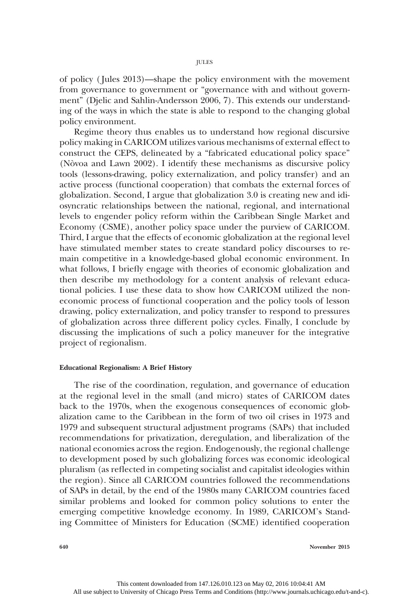of policy ( Jules 2013)—shape the policy environment with the movement from governance to government or "governance with and without government" (Djelic and Sahlin-Andersson 2006, 7). This extends our understanding of the ways in which the state is able to respond to the changing global policy environment.

Regime theory thus enables us to understand how regional discursive policy making in CARICOM utilizes various mechanisms of external effect to construct the CEPS, delineated by a "fabricated educational policy space" (Nòvoa and Lawn 2002). I identify these mechanisms as discursive policy tools (lessons-drawing, policy externalization, and policy transfer) and an active process (functional cooperation) that combats the external forces of globalization. Second, I argue that globalization 3.0 is creating new and idiosyncratic relationships between the national, regional, and international levels to engender policy reform within the Caribbean Single Market and Economy (CSME), another policy space under the purview of CARICOM. Third, I argue that the effects of economic globalization at the regional level have stimulated member states to create standard policy discourses to remain competitive in a knowledge-based global economic environment. In what follows, I briefly engage with theories of economic globalization and then describe my methodology for a content analysis of relevant educational policies. I use these data to show how CARICOM utilized the noneconomic process of functional cooperation and the policy tools of lesson drawing, policy externalization, and policy transfer to respond to pressures of globalization across three different policy cycles. Finally, I conclude by discussing the implications of such a policy maneuver for the integrative project of regionalism.

# Educational Regionalism: A Brief History

The rise of the coordination, regulation, and governance of education at the regional level in the small (and micro) states of CARICOM dates back to the 1970s, when the exogenous consequences of economic globalization came to the Caribbean in the form of two oil crises in 1973 and 1979 and subsequent structural adjustment programs (SAPs) that included recommendations for privatization, deregulation, and liberalization of the national economies across the region. Endogenously, the regional challenge to development posed by such globalizing forces was economic ideological pluralism (as reflected in competing socialist and capitalist ideologies within the region). Since all CARICOM countries followed the recommendations of SAPs in detail, by the end of the 1980s many CARICOM countries faced similar problems and looked for common policy solutions to enter the emerging competitive knowledge economy. In 1989, CARICOM's Standing Committee of Ministers for Education (SCME) identified cooperation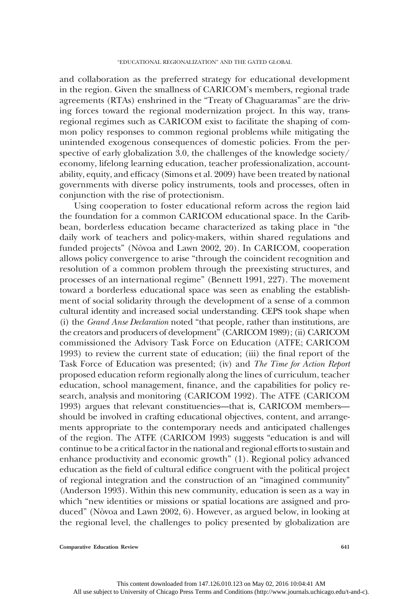and collaboration as the preferred strategy for educational development in the region. Given the smallness of CARICOM's members, regional trade agreements (RTAs) enshrined in the "Treaty of Chaguaramas" are the driving forces toward the regional modernization project. In this way, transregional regimes such as CARICOM exist to facilitate the shaping of common policy responses to common regional problems while mitigating the unintended exogenous consequences of domestic policies. From the perspective of early globalization 3.0, the challenges of the knowledge society/ economy, lifelong learning education, teacher professionalization, accountability, equity, and efficacy (Simons et al. 2009) have been treated by national governments with diverse policy instruments, tools and processes, often in conjunction with the rise of protectionism.

Using cooperation to foster educational reform across the region laid the foundation for a common CARICOM educational space. In the Caribbean, borderless education became characterized as taking place in "the daily work of teachers and policy-makers, within shared regulations and funded projects" (Nòvoa and Lawn 2002, 20). In CARICOM, cooperation allows policy convergence to arise "through the coincident recognition and resolution of a common problem through the preexisting structures, and processes of an international regime" (Bennett 1991, 227). The movement toward a borderless educational space was seen as enabling the establishment of social solidarity through the development of a sense of a common cultural identity and increased social understanding. CEPS took shape when (i) the Grand Anse Declaration noted "that people, rather than institutions, are the creators and producers of development" (CARICOM 1989); (ii) CARICOM commissioned the Advisory Task Force on Education (ATFE; CARICOM 1993) to review the current state of education; (iii) the final report of the Task Force of Education was presented; (iv) and The Time for Action Report proposed education reform regionally along the lines of curriculum, teacher education, school management, finance, and the capabilities for policy research, analysis and monitoring (CARICOM 1992). The ATFE (CARICOM 1993) argues that relevant constituencies—that is, CARICOM members should be involved in crafting educational objectives, content, and arrangements appropriate to the contemporary needs and anticipated challenges of the region. The ATFE (CARICOM 1993) suggests "education is and will continue to be a critical factor in the national and regional efforts to sustain and enhance productivity and economic growth" (1). Regional policy advanced education as the field of cultural edifice congruent with the political project of regional integration and the construction of an "imagined community" (Anderson 1993). Within this new community, education is seen as a way in which "new identities or missions or spatial locations are assigned and produced" (Nòvoa and Lawn 2002, 6). However, as argued below, in looking at the regional level, the challenges to policy presented by globalization are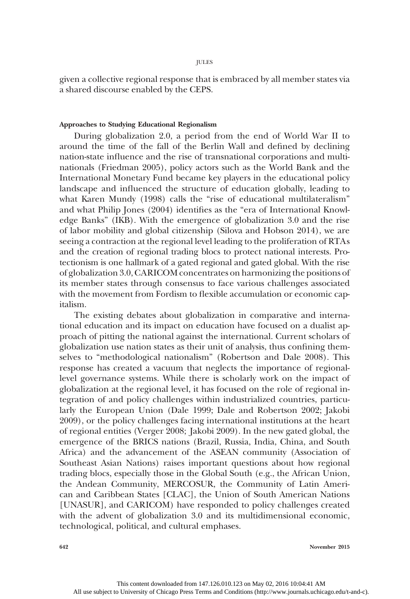given a collective regional response that is embraced by all member states via a shared discourse enabled by the CEPS.

# Approaches to Studying Educational Regionalism

During globalization 2.0, a period from the end of World War II to around the time of the fall of the Berlin Wall and defined by declining nation-state influence and the rise of transnational corporations and multinationals (Friedman 2005), policy actors such as the World Bank and the International Monetary Fund became key players in the educational policy landscape and influenced the structure of education globally, leading to what Karen Mundy (1998) calls the "rise of educational multilateralism" and what Philip Jones (2004) identifies as the "era of International Knowledge Banks" (IKB). With the emergence of globalization 3.0 and the rise of labor mobility and global citizenship (Silova and Hobson 2014), we are seeing a contraction at the regional level leading to the proliferation of RTAs and the creation of regional trading blocs to protect national interests. Protectionism is one hallmark of a gated regional and gated global. With the rise of globalization 3.0, CARICOM concentrates on harmonizing the positions of its member states through consensus to face various challenges associated with the movement from Fordism to flexible accumulation or economic capitalism.

The existing debates about globalization in comparative and international education and its impact on education have focused on a dualist approach of pitting the national against the international. Current scholars of globalization use nation states as their unit of analysis, thus confining themselves to "methodological nationalism" (Robertson and Dale 2008). This response has created a vacuum that neglects the importance of regionallevel governance systems. While there is scholarly work on the impact of globalization at the regional level, it has focused on the role of regional integration of and policy challenges within industrialized countries, particularly the European Union (Dale 1999; Dale and Robertson 2002; Jakobi 2009), or the policy challenges facing international institutions at the heart of regional entities (Verger 2008; Jakobi 2009). In the new gated global, the emergence of the BRICS nations (Brazil, Russia, India, China, and South Africa) and the advancement of the ASEAN community (Association of Southeast Asian Nations) raises important questions about how regional trading blocs, especially those in the Global South (e.g., the African Union, the Andean Community, MERCOSUR, the Community of Latin American and Caribbean States [CLAC], the Union of South American Nations [UNASUR], and CARICOM) have responded to policy challenges created with the advent of globalization 3.0 and its multidimensional economic, technological, political, and cultural emphases.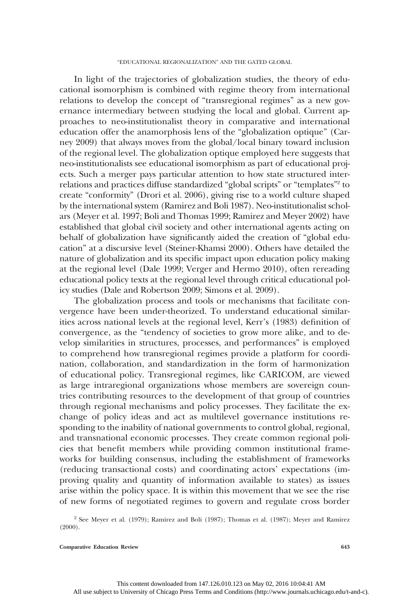In light of the trajectories of globalization studies, the theory of educational isomorphism is combined with regime theory from international relations to develop the concept of "transregional regimes" as a new governance intermediary between studying the local and global. Current approaches to neo-institutionalist theory in comparative and international education offer the anamorphosis lens of the "globalization optique" (Carney 2009) that always moves from the global/local binary toward inclusion of the regional level. The globalization optique employed here suggests that neo-institutionalists see educational isomorphism as part of educational projects. Such a merger pays particular attention to how state structured interrelations and practices diffuse standardized "global scripts" or "templates"<sup>2</sup> to create "conformity" (Drori et al. 2006), giving rise to a world culture shaped by the international system (Ramirez and Boli 1987). Neo-institutionalist scholars (Meyer et al. 1997; Boli and Thomas 1999; Ramirez and Meyer 2002) have established that global civil society and other international agents acting on behalf of globalization have significantly aided the creation of "global education" at a discursive level (Steiner-Khamsi 2000). Others have detailed the nature of globalization and its specific impact upon education policy making at the regional level (Dale 1999; Verger and Hermo 2010), often rereading educational policy texts at the regional level through critical educational policy studies (Dale and Robertson 2009; Simons et al. 2009).

The globalization process and tools or mechanisms that facilitate convergence have been under-theorized. To understand educational similarities across national levels at the regional level, Kerr's (1983) definition of convergence, as the "tendency of societies to grow more alike, and to develop similarities in structures, processes, and performances" is employed to comprehend how transregional regimes provide a platform for coordination, collaboration, and standardization in the form of harmonization of educational policy. Transregional regimes, like CARICOM, are viewed as large intraregional organizations whose members are sovereign countries contributing resources to the development of that group of countries through regional mechanisms and policy processes. They facilitate the exchange of policy ideas and act as multilevel governance institutions responding to the inability of national governments to control global, regional, and transnational economic processes. They create common regional policies that benefit members while providing common institutional frameworks for building consensus, including the establishment of frameworks (reducing transactional costs) and coordinating actors' expectations (improving quality and quantity of information available to states) as issues arise within the policy space. It is within this movement that we see the rise of new forms of negotiated regimes to govern and regulate cross border

<sup>2</sup> See Meyer et al. (1979); Ramirez and Boli (1987); Thomas et al. (1987); Meyer and Ramirez  $(2000)$ .

Comparative Education Review 643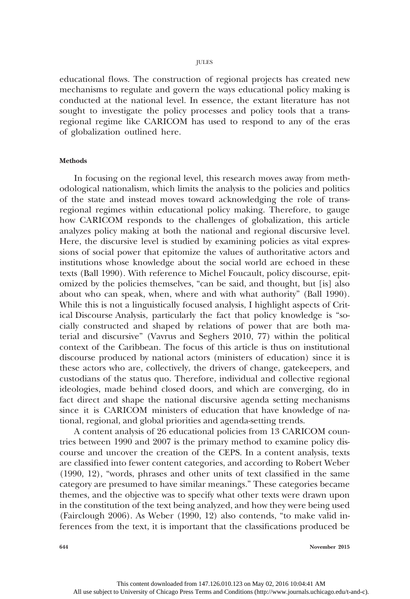JULES

educational flows. The construction of regional projects has created new mechanisms to regulate and govern the ways educational policy making is conducted at the national level. In essence, the extant literature has not sought to investigate the policy processes and policy tools that a transregional regime like CARICOM has used to respond to any of the eras of globalization outlined here.

## **Methods**

In focusing on the regional level, this research moves away from methodological nationalism, which limits the analysis to the policies and politics of the state and instead moves toward acknowledging the role of transregional regimes within educational policy making. Therefore, to gauge how CARICOM responds to the challenges of globalization, this article analyzes policy making at both the national and regional discursive level. Here, the discursive level is studied by examining policies as vital expressions of social power that epitomize the values of authoritative actors and institutions whose knowledge about the social world are echoed in these texts (Ball 1990). With reference to Michel Foucault, policy discourse, epitomized by the policies themselves, "can be said, and thought, but [is] also about who can speak, when, where and with what authority" (Ball 1990). While this is not a linguistically focused analysis, I highlight aspects of Critical Discourse Analysis, particularly the fact that policy knowledge is "socially constructed and shaped by relations of power that are both material and discursive" (Vavrus and Seghers 2010, 77) within the political context of the Caribbean. The focus of this article is thus on institutional discourse produced by national actors (ministers of education) since it is these actors who are, collectively, the drivers of change, gatekeepers, and custodians of the status quo. Therefore, individual and collective regional ideologies, made behind closed doors, and which are converging, do in fact direct and shape the national discursive agenda setting mechanisms since it is CARICOM ministers of education that have knowledge of national, regional, and global priorities and agenda-setting trends.

A content analysis of 26 educational policies from 13 CARICOM countries between 1990 and 2007 is the primary method to examine policy discourse and uncover the creation of the CEPS. In a content analysis, texts are classified into fewer content categories, and according to Robert Weber (1990, 12), "words, phrases and other units of text classified in the same category are presumed to have similar meanings." These categories became themes, and the objective was to specify what other texts were drawn upon in the constitution of the text being analyzed, and how they were being used (Fairclough 2006). As Weber (1990, 12) also contends, "to make valid inferences from the text, it is important that the classifications produced be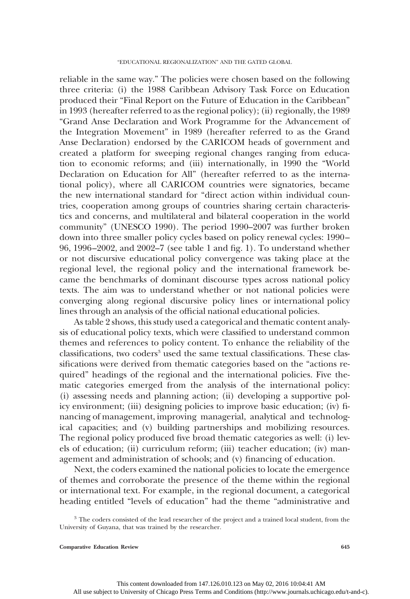reliable in the same way." The policies were chosen based on the following three criteria: (i) the 1988 Caribbean Advisory Task Force on Education produced their "Final Report on the Future of Education in the Caribbean" in 1993 (hereafter referred to as the regional policy); (ii) regionally, the 1989 "Grand Anse Declaration and Work Programme for the Advancement of the Integration Movement" in 1989 (hereafter referred to as the Grand Anse Declaration) endorsed by the CARICOM heads of government and created a platform for sweeping regional changes ranging from education to economic reforms; and (iii) internationally, in 1990 the "World Declaration on Education for All" (hereafter referred to as the international policy), where all CARICOM countries were signatories, became the new international standard for "direct action within individual countries, cooperation among groups of countries sharing certain characteristics and concerns, and multilateral and bilateral cooperation in the world community" (UNESCO 1990). The period 1990–2007 was further broken down into three smaller policy cycles based on policy renewal cycles: 1990– 96, 1996–2002, and 2002–7 (see table 1 and fig. 1). To understand whether or not discursive educational policy convergence was taking place at the regional level, the regional policy and the international framework became the benchmarks of dominant discourse types across national policy texts. The aim was to understand whether or not national policies were converging along regional discursive policy lines or international policy lines through an analysis of the official national educational policies.

As table 2 shows, this study used a categorical and thematic content analysis of educational policy texts, which were classified to understand common themes and references to policy content. To enhance the reliability of the  $classifications.$  two coders<sup>3</sup> used the same textual classifications. These classifications were derived from thematic categories based on the "actions required" headings of the regional and the international policies. Five thematic categories emerged from the analysis of the international policy: (i) assessing needs and planning action; (ii) developing a supportive policy environment; (iii) designing policies to improve basic education; (iv) financing of management, improving managerial, analytical and technological capacities; and (v) building partnerships and mobilizing resources. The regional policy produced five broad thematic categories as well: (i) levels of education; (ii) curriculum reform; (iii) teacher education; (iv) management and administration of schools; and (v) financing of education.

Next, the coders examined the national policies to locate the emergence of themes and corroborate the presence of the theme within the regional or international text. For example, in the regional document, a categorical heading entitled "levels of education" had the theme "administrative and

<sup>&</sup>lt;sup>3</sup> The coders consisted of the lead researcher of the project and a trained local student, from the University of Guyana, that was trained by the researcher.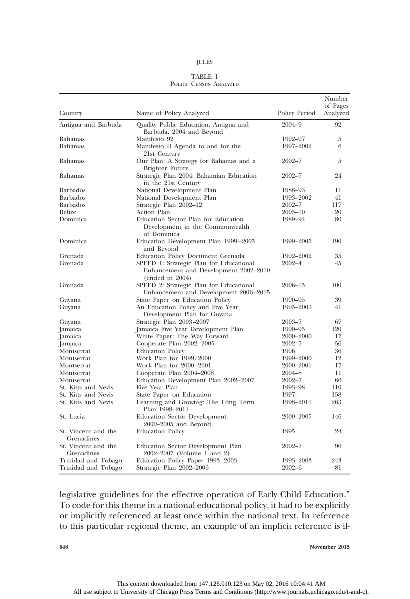#### TABLE 1 POLICY CENSUS ANALYZED

|                                   |                                                                                                     |               | Number<br>of Pages |
|-----------------------------------|-----------------------------------------------------------------------------------------------------|---------------|--------------------|
| Country                           | Name of Policy Analyzed                                                                             | Policy Period | Analyzed           |
| Antigua and Barbuda               | Quality Public Education, Antigua and<br>Barbuda, 2004 and Beyond                                   | $2004 - 9$    | 92                 |
| Bahamas                           | Manifesto 92                                                                                        | 1992–97       | 5                  |
| Bahamas                           | Manifesto II Agenda to and for the<br>21st Century                                                  | 1997-2002     | 6                  |
| Bahamas                           | Our Plan: A Strategy for Bahamas and a<br>Brighter Future                                           | $2002 - 7$    | 5                  |
| Bahamas                           | Strategic Plan 2004: Bahamian Education<br>in the 21st Century                                      | $2002 - 7$    | 24                 |
| <b>Barbados</b>                   | National Development Plan                                                                           | 1988-93       | 11                 |
| Barbados                          | National Development Plan                                                                           | 1993-2002     | 41                 |
| <b>Barbados</b>                   | Strategic Plan 2002-12                                                                              | $2002 - 7$    | 117                |
| Belize                            | Action Plan                                                                                         | $2005 - 10$   | 20                 |
| Dominica                          | Education Sector Plan for Education<br>Development in the Commonwealth<br>of Dominica               | 1989–94       | 80                 |
| Dominica                          | Education Development Plan 1999–2005<br>and Beyond                                                  | 1999–2005     | 190                |
| Grenada                           | Education Policy Document Grenada                                                                   | 1992-2002     | 35                 |
| Grenada                           | SPEED 1: Strategic Plan for Educational<br>Enhancement and Development 2002–2010<br>(ended in 2004) | $2002 - 4$    | 45                 |
| Grenada                           | SPEED 2: Strategic Plan for Educational<br>Enhancement and Development 2006–2015                    | 2006–15       | 100                |
| Guyana                            | State Paper on Education Policy                                                                     | 1990–95       | 39                 |
| Guyana                            | An Education Policy and Five Year<br>Development Plan for Guyana                                    | 1995–2003     | 41                 |
| Guyana                            | Strategic Plan 2003-2007                                                                            | $2003 - 7$    | 67                 |
| Jamaica                           | Jamaica Five Year Development Plan                                                                  | 1990–95       | 120                |
| Jamaica                           | White Paper: The Way Forward                                                                        | 2000–2000     | 17                 |
| Jamaica                           | Cooperate Plan 2002-2005                                                                            | $2002 - 5$    | 56                 |
| Montserrat                        | <b>Education Policy</b>                                                                             | 1996          | 36                 |
| Montserrat                        | Work Plan for 1999/2000                                                                             | 1999-2000     | 12                 |
| Montserrat                        | Work Plan for 2000–2001                                                                             | 2000-2001     | 17                 |
| Montserrat                        | Cooperate Plan 2004–2008                                                                            | $2004 - 8$    | 11                 |
| Montserrat                        | Education Development Plan 2002–2007                                                                | $2002 - 7$    | 66                 |
| St. Kitts and Nevis               | Five Year Plan                                                                                      | 1993-98       | 110                |
| St. Kitts and Nevis               | State Paper on Education                                                                            | $1997-$       | 158                |
| St. Kitts and Nevis               | Learning and Growing: The Long Term<br>Plan 1998–2011                                               | 1998-2011     | 263                |
| St. Lucia                         | Education Sector Development:<br>2000–2005 and Beyond                                               | 2000-2005     | 146                |
| St. Vincent and the<br>Grenadines | <b>Education Policy</b>                                                                             | 1995          | 24                 |
| St. Vincent and the<br>Grenadines | Education Sector Development Plan<br>2002–2007 (Volume 1 and 2)                                     | $2002 - 7$    | 96                 |
| Trinidad and Tobago               | Education Policy Paper 1993–2003                                                                    | 1993-2003     | 243                |
| Trinidad and Tobago               | Strategic Plan 2002-2006                                                                            | $2002 - 6$    | 81                 |

legislative guidelines for the effective operation of Early Child Education." To code for this theme in a national educational policy, it had to be explicitly or implicitly referenced at least once within the national text. In reference to this particular regional theme, an example of an implicit reference is il-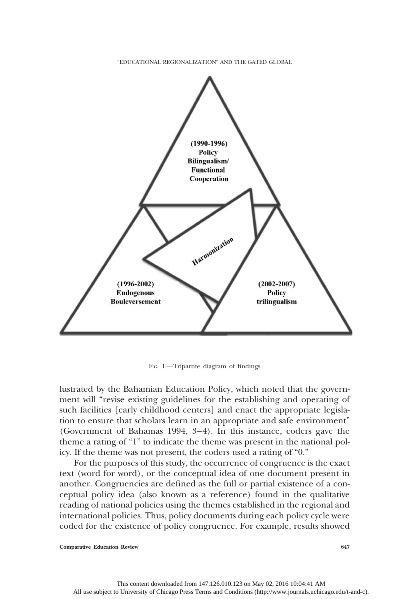"EDUCATIONAL REGIONALIZATION" AND THE GATED GLOBAL



FIG. 1.—Tripartite diagram of findings

lustrated by the Bahamian Education Policy, which noted that the government will "revise existing guidelines for the establishing and operating of such facilities [early childhood centers] and enact the appropriate legislation to ensure that scholars learn in an appropriate and safe environment" (Government of Bahamas 1994, 3–4). In this instance, coders gave the theme a rating of "1" to indicate the theme was present in the national policy. If the theme was not present, the coders used a rating of "0."

For the purposes of this study, the occurrence of congruence is the exact text (word for word), or the conceptual idea of one document present in another. Congruencies are defined as the full or partial existence of a conceptual policy idea (also known as a reference) found in the qualitative reading of national policies using the themes established in the regional and international policies. Thus, policy documents during each policy cycle were coded for the existence of policy congruence. For example, results showed

Comparative Education Review 647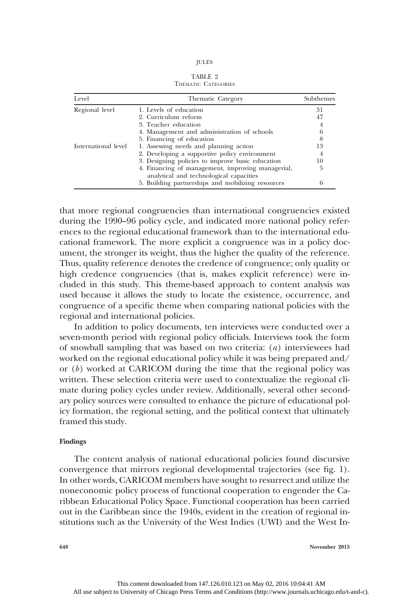TABLE 2 THEMATIC CATEGORIES

| Level               | Thematic Category                                                                            |    |
|---------------------|----------------------------------------------------------------------------------------------|----|
| Regional level      | 1. Levels of education                                                                       | 31 |
|                     | 2. Curriculum reform                                                                         | 47 |
|                     | 3. Teacher education                                                                         | 4  |
|                     | 4. Management and administration of schools                                                  | 6  |
|                     | 5. Financing of education                                                                    | 8  |
| International level | 1. Assessing needs and planning action                                                       | 13 |
|                     | 2. Developing a supportive policy environment                                                | 4  |
|                     | 3. Designing policies to improve basic education                                             | 10 |
|                     | 4. Financing of management, improving managerial,<br>analytical and technological capacities | 5  |
|                     | 5. Building partnerships and mobilizing resources                                            | 6  |

that more regional congruencies than international congruencies existed during the 1990–96 policy cycle, and indicated more national policy references to the regional educational framework than to the international educational framework. The more explicit a congruence was in a policy document, the stronger its weight, thus the higher the quality of the reference. Thus, quality reference denotes the credence of congruence; only quality or high credence congruencies (that is, makes explicit reference) were included in this study. This theme-based approach to content analysis was used because it allows the study to locate the existence, occurrence, and congruence of a specific theme when comparing national policies with the regional and international policies.

In addition to policy documents, ten interviews were conducted over a seven-month period with regional policy officials. Interviews took the form of snowball sampling that was based on two criteria: (a) interviewees had worked on the regional educational policy while it was being prepared and/ or  $(b)$  worked at CARICOM during the time that the regional policy was written. These selection criteria were used to contextualize the regional climate during policy cycles under review. Additionally, several other secondary policy sources were consulted to enhance the picture of educational policy formation, the regional setting, and the political context that ultimately framed this study.

# Findings

The content analysis of national educational policies found discursive convergence that mirrors regional developmental trajectories (see fig. 1). In other words, CARICOM members have sought to resurrect and utilize the noneconomic policy process of functional cooperation to engender the Caribbean Educational Policy Space. Functional cooperation has been carried out in the Caribbean since the 1940s, evident in the creation of regional institutions such as the University of the West Indies (UWI) and the West In-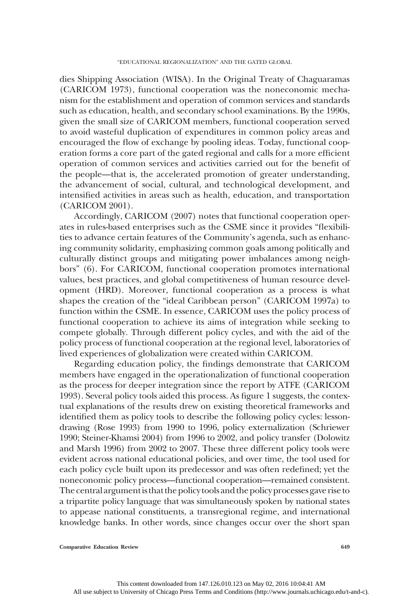dies Shipping Association (WISA). In the Original Treaty of Chaguaramas (CARICOM 1973), functional cooperation was the noneconomic mechanism for the establishment and operation of common services and standards such as education, health, and secondary school examinations. By the 1990s, given the small size of CARICOM members, functional cooperation served to avoid wasteful duplication of expenditures in common policy areas and encouraged the flow of exchange by pooling ideas. Today, functional cooperation forms a core part of the gated regional and calls for a more efficient operation of common services and activities carried out for the benefit of the people—that is, the accelerated promotion of greater understanding, the advancement of social, cultural, and technological development, and intensified activities in areas such as health, education, and transportation (CARICOM 2001).

Accordingly, CARICOM (2007) notes that functional cooperation operates in rules-based enterprises such as the CSME since it provides "flexibilities to advance certain features of the Community's agenda, such as enhancing community solidarity, emphasizing common goals among politically and culturally distinct groups and mitigating power imbalances among neighbors" (6). For CARICOM, functional cooperation promotes international values, best practices, and global competitiveness of human resource development (HRD). Moreover, functional cooperation as a process is what shapes the creation of the "ideal Caribbean person" (CARICOM 1997a) to function within the CSME. In essence, CARICOM uses the policy process of functional cooperation to achieve its aims of integration while seeking to compete globally. Through different policy cycles, and with the aid of the policy process of functional cooperation at the regional level, laboratories of lived experiences of globalization were created within CARICOM.

Regarding education policy, the findings demonstrate that CARICOM members have engaged in the operationalization of functional cooperation as the process for deeper integration since the report by ATFE (CARICOM 1993). Several policy tools aided this process. As figure 1 suggests, the contextual explanations of the results drew on existing theoretical frameworks and identified them as policy tools to describe the following policy cycles: lessondrawing (Rose 1993) from 1990 to 1996, policy externalization (Schriewer 1990; Steiner-Khamsi 2004) from 1996 to 2002, and policy transfer (Dolowitz and Marsh 1996) from 2002 to 2007. These three different policy tools were evident across national educational policies, and over time, the tool used for each policy cycle built upon its predecessor and was often redefined; yet the noneconomic policy process—functional cooperation—remained consistent. The centralargumentis that the policy toolsand the policy processes gave rise to a tripartite policy language that was simultaneously spoken by national states to appease national constituents, a transregional regime, and international knowledge banks. In other words, since changes occur over the short span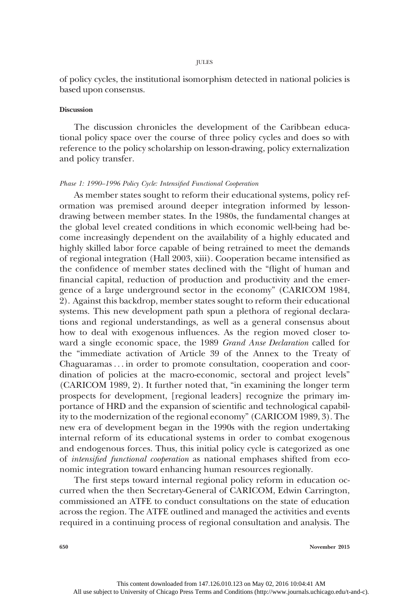JULES

of policy cycles, the institutional isomorphism detected in national policies is based upon consensus.

# **Discussion**

The discussion chronicles the development of the Caribbean educational policy space over the course of three policy cycles and does so with reference to the policy scholarship on lesson-drawing, policy externalization and policy transfer.

## Phase 1: 1990–1996 Policy Cycle: Intensified Functional Cooperation

As member states sought to reform their educational systems, policy reformation was premised around deeper integration informed by lessondrawing between member states. In the 1980s, the fundamental changes at the global level created conditions in which economic well-being had become increasingly dependent on the availability of a highly educated and highly skilled labor force capable of being retrained to meet the demands of regional integration (Hall 2003, xiii). Cooperation became intensified as the confidence of member states declined with the "flight of human and financial capital, reduction of production and productivity and the emergence of a large underground sector in the economy" (CARICOM 1984, 2). Against this backdrop, member states sought to reform their educational systems. This new development path spun a plethora of regional declarations and regional understandings, as well as a general consensus about how to deal with exogenous influences. As the region moved closer toward a single economic space, the 1989 Grand Anse Declaration called for the "immediate activation of Article 39 of the Annex to the Treaty of Chaguaramas . . . in order to promote consultation, cooperation and coordination of policies at the macro-economic, sectoral and project levels" (CARICOM 1989, 2). It further noted that, "in examining the longer term prospects for development, [regional leaders] recognize the primary importance of HRD and the expansion of scientific and technological capability to the modernization of the regional economy" (CARICOM 1989, 3). The new era of development began in the 1990s with the region undertaking internal reform of its educational systems in order to combat exogenous and endogenous forces. Thus, this initial policy cycle is categorized as one of intensified functional cooperation as national emphases shifted from economic integration toward enhancing human resources regionally.

The first steps toward internal regional policy reform in education occurred when the then Secretary-General of CARICOM, Edwin Carrington, commissioned an ATFE to conduct consultations on the state of education across the region. The ATFE outlined and managed the activities and events required in a continuing process of regional consultation and analysis. The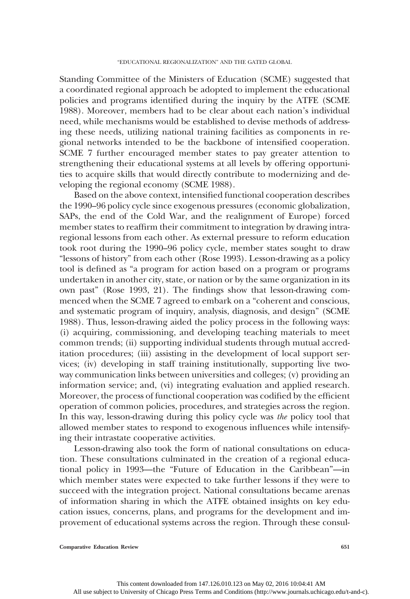Standing Committee of the Ministers of Education (SCME) suggested that a coordinated regional approach be adopted to implement the educational policies and programs identified during the inquiry by the ATFE (SCME 1988). Moreover, members had to be clear about each nation's individual need, while mechanisms would be established to devise methods of addressing these needs, utilizing national training facilities as components in regional networks intended to be the backbone of intensified cooperation. SCME 7 further encouraged member states to pay greater attention to strengthening their educational systems at all levels by offering opportunities to acquire skills that would directly contribute to modernizing and developing the regional economy (SCME 1988).

Based on the above context, intensified functional cooperation describes the 1990–96 policy cycle since exogenous pressures (economic globalization, SAPs, the end of the Cold War, and the realignment of Europe) forced member states to reaffirm their commitment to integration by drawing intraregional lessons from each other. As external pressure to reform education took root during the 1990–96 policy cycle, member states sought to draw "lessons of history" from each other (Rose 1993). Lesson-drawing as a policy tool is defined as "a program for action based on a program or programs undertaken in another city, state, or nation or by the same organization in its own past" (Rose 1993, 21). The findings show that lesson-drawing commenced when the SCME 7 agreed to embark on a "coherent and conscious, and systematic program of inquiry, analysis, diagnosis, and design" (SCME 1988). Thus, lesson-drawing aided the policy process in the following ways: (i) acquiring, commissioning, and developing teaching materials to meet common trends; (ii) supporting individual students through mutual accreditation procedures; (iii) assisting in the development of local support services; (iv) developing in staff training institutionally, supporting live twoway communication links between universities and colleges; (v) providing an information service; and, (vi) integrating evaluation and applied research. Moreover, the process of functional cooperation was codified by the efficient operation of common policies, procedures, and strategies across the region. In this way, lesson-drawing during this policy cycle was the policy tool that allowed member states to respond to exogenous influences while intensifying their intrastate cooperative activities.

Lesson-drawing also took the form of national consultations on education. These consultations culminated in the creation of a regional educational policy in 1993—the "Future of Education in the Caribbean"—in which member states were expected to take further lessons if they were to succeed with the integration project. National consultations became arenas of information sharing in which the ATFE obtained insights on key education issues, concerns, plans, and programs for the development and improvement of educational systems across the region. Through these consul-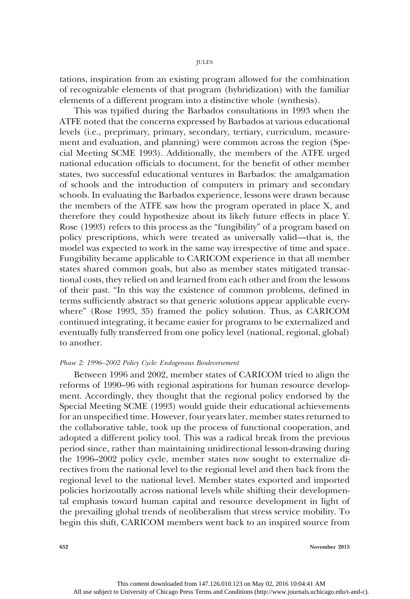tations, inspiration from an existing program allowed for the combination of recognizable elements of that program (hybridization) with the familiar elements of a different program into a distinctive whole (synthesis).

This was typified during the Barbados consultations in 1993 when the ATFE noted that the concerns expressed by Barbados at various educational levels (i.e., preprimary, primary, secondary, tertiary, curriculum, measurement and evaluation, and planning) were common across the region (Special Meeting SCME 1993). Additionally, the members of the ATFE urged national education officials to document, for the benefit of other member states, two successful educational ventures in Barbados: the amalgamation of schools and the introduction of computers in primary and secondary schools. In evaluating the Barbados experience, lessons were drawn because the members of the ATFE saw how the program operated in place X, and therefore they could hypothesize about its likely future effects in place Y. Rose (1993) refers to this process as the "fungibility" of a program based on policy prescriptions, which were treated as universally valid—that is, the model was expected to work in the same way irrespective of time and space. Fungibility became applicable to CARICOM experience in that all member states shared common goals, but also as member states mitigated transactional costs, they relied on and learned from each other and from the lessons of their past. "In this way the existence of common problems, defined in terms sufficiently abstract so that generic solutions appear applicable everywhere" (Rose 1993, 35) framed the policy solution. Thus, as CARICOM continued integrating, it became easier for programs to be externalized and eventually fully transferred from one policy level (national, regional, global) to another.

# Phase 2: 1996–2002 Policy Cycle: Endogenous Bouleversement

Between 1996 and 2002, member states of CARICOM tried to align the reforms of 1990–96 with regional aspirations for human resource development. Accordingly, they thought that the regional policy endorsed by the Special Meeting SCME (1993) would guide their educational achievements for an unspecified time. However, four years later, member states returned to the collaborative table, took up the process of functional cooperation, and adopted a different policy tool. This was a radical break from the previous period since, rather than maintaining unidirectional lesson-drawing during the 1996–2002 policy cycle, member states now sought to externalize directives from the national level to the regional level and then back from the regional level to the national level. Member states exported and imported policies horizontally across national levels while shifting their developmental emphasis toward human capital and resource development in light of the prevailing global trends of neoliberalism that stress service mobility. To begin this shift, CARICOM members went back to an inspired source from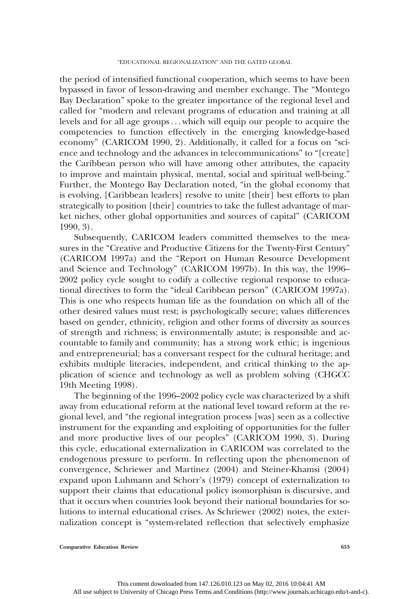the period of intensified functional cooperation, which seems to have been bypassed in favor of lesson-drawing and member exchange. The "Montego Bay Declaration" spoke to the greater importance of the regional level and called for "modern and relevant programs of education and training at all levels and for all age groups . . . which will equip our people to acquire the competencies to function effectively in the emerging knowledge-based economy" (CARICOM 1990, 2). Additionally, it called for a focus on "science and technology and the advances in telecommunications" to "[create] the Caribbean person who will have among other attributes, the capacity to improve and maintain physical, mental, social and spiritual well-being." Further, the Montego Bay Declaration noted, "in the global economy that is evolving, [Caribbean leaders] resolve to unite [their] best efforts to plan strategically to position [their] countries to take the fullest advantage of market niches, other global opportunities and sources of capital" (CARICOM 1990, 3).

Subsequently, CARICOM leaders committed themselves to the measures in the "Creative and Productive Citizens for the Twenty-First Century" (CARICOM 1997a) and the "Report on Human Resource Development and Science and Technology" (CARICOM 1997b). In this way, the 1996– 2002 policy cycle sought to codify a collective regional response to educational directives to form the "ideal Caribbean person" (CARICOM 1997a). This is one who respects human life as the foundation on which all of the other desired values must rest; is psychologically secure; values differences based on gender, ethnicity, religion and other forms of diversity as sources of strength and richness; is environmentally astute; is responsible and accountable to family and community; has a strong work ethic; is ingenious and entrepreneurial; has a conversant respect for the cultural heritage; and exhibits multiple literacies, independent, and critical thinking to the application of science and technology as well as problem solving (CHGCC 19th Meeting 1998).

The beginning of the 1996–2002 policy cycle was characterized by a shift away from educational reform at the national level toward reform at the regional level, and "the regional integration process [was] seen as a collective instrument for the expanding and exploiting of opportunities for the fuller and more productive lives of our peoples" (CARICOM 1990, 3). During this cycle, educational externalization in CARICOM was correlated to the endogenous pressure to perform. In reflecting upon the phenomenon of convergence, Schriewer and Martinez (2004) and Steiner-Khamsi (2004) expand upon Luhmann and Schorr's (1979) concept of externalization to support their claims that educational policy isomorphism is discursive, and that it occurs when countries look beyond their national boundaries for solutions to internal educational crises. As Schriewer (2002) notes, the externalization concept is "system-related reflection that selectively emphasize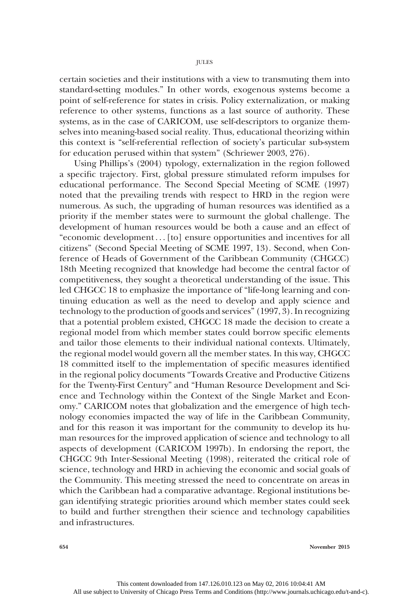certain societies and their institutions with a view to transmuting them into standard-setting modules." In other words, exogenous systems become a point of self-reference for states in crisis. Policy externalization, or making reference to other systems, functions as a last source of authority. These systems, as in the case of CARICOM, use self-descriptors to organize themselves into meaning-based social reality. Thus, educational theorizing within this context is "self-referential reflection of society's particular sub-system for education perused within that system" (Schriewer 2003, 276).

Using Phillips's (2004) typology, externalization in the region followed a specific trajectory. First, global pressure stimulated reform impulses for educational performance. The Second Special Meeting of SCME (1997) noted that the prevailing trends with respect to HRD in the region were numerous. As such, the upgrading of human resources was identified as a priority if the member states were to surmount the global challenge. The development of human resources would be both a cause and an effect of "economic development . . . [to] ensure opportunities and incentives for all citizens" (Second Special Meeting of SCME 1997, 13). Second, when Conference of Heads of Government of the Caribbean Community (CHGCC) 18th Meeting recognized that knowledge had become the central factor of competitiveness, they sought a theoretical understanding of the issue. This led CHGCC 18 to emphasize the importance of "life-long learning and continuing education as well as the need to develop and apply science and technology to the production of goods and services" (1997, 3). In recognizing that a potential problem existed, CHGCC 18 made the decision to create a regional model from which member states could borrow specific elements and tailor those elements to their individual national contexts. Ultimately, the regional model would govern all the member states. In this way, CHGCC 18 committed itself to the implementation of specific measures identified in the regional policy documents "Towards Creative and Productive Citizens for the Twenty-First Century" and "Human Resource Development and Science and Technology within the Context of the Single Market and Economy." CARICOM notes that globalization and the emergence of high technology economies impacted the way of life in the Caribbean Community, and for this reason it was important for the community to develop its human resources for the improved application of science and technology to all aspects of development (CARICOM 1997b). In endorsing the report, the CHGCC 9th Inter-Sessional Meeting (1998), reiterated the critical role of science, technology and HRD in achieving the economic and social goals of the Community. This meeting stressed the need to concentrate on areas in which the Caribbean had a comparative advantage. Regional institutions began identifying strategic priorities around which member states could seek to build and further strengthen their science and technology capabilities and infrastructures.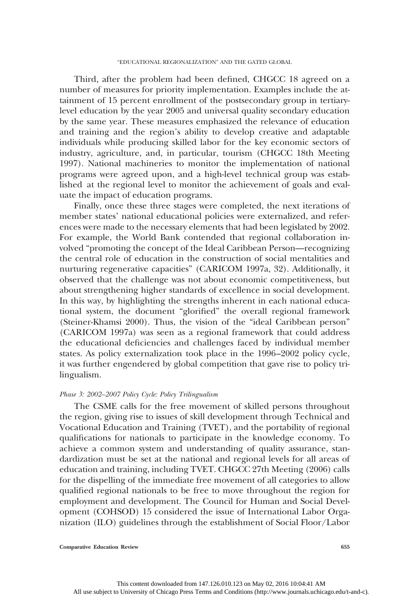Third, after the problem had been defined, CHGCC 18 agreed on a number of measures for priority implementation. Examples include the attainment of 15 percent enrollment of the postsecondary group in tertiarylevel education by the year 2005 and universal quality secondary education by the same year. These measures emphasized the relevance of education and training and the region's ability to develop creative and adaptable individuals while producing skilled labor for the key economic sectors of industry, agriculture, and, in particular, tourism (CHGCC 18th Meeting 1997). National machineries to monitor the implementation of national programs were agreed upon, and a high-level technical group was established at the regional level to monitor the achievement of goals and evaluate the impact of education programs.

Finally, once these three stages were completed, the next iterations of member states' national educational policies were externalized, and references were made to the necessary elements that had been legislated by 2002. For example, the World Bank contended that regional collaboration involved "promoting the concept of the Ideal Caribbean Person—recognizing the central role of education in the construction of social mentalities and nurturing regenerative capacities" (CARICOM 1997a, 32). Additionally, it observed that the challenge was not about economic competitiveness, but about strengthening higher standards of excellence in social development. In this way, by highlighting the strengths inherent in each national educational system, the document "glorified" the overall regional framework (Steiner-Khamsi 2000). Thus, the vision of the "ideal Caribbean person" (CARICOM 1997a) was seen as a regional framework that could address the educational deficiencies and challenges faced by individual member states. As policy externalization took place in the 1996–2002 policy cycle, it was further engendered by global competition that gave rise to policy trilingualism.

# Phase 3: 2002-2007 Policy Cycle: Policy Trilingualism

The CSME calls for the free movement of skilled persons throughout the region, giving rise to issues of skill development through Technical and Vocational Education and Training (TVET), and the portability of regional qualifications for nationals to participate in the knowledge economy. To achieve a common system and understanding of quality assurance, standardization must be set at the national and regional levels for all areas of education and training, including TVET. CHGCC 27th Meeting (2006) calls for the dispelling of the immediate free movement of all categories to allow qualified regional nationals to be free to move throughout the region for employment and development. The Council for Human and Social Development (COHSOD) 15 considered the issue of International Labor Organization (ILO) guidelines through the establishment of Social Floor/Labor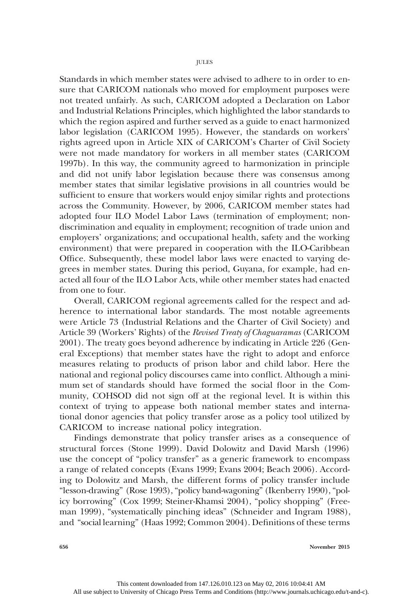Standards in which member states were advised to adhere to in order to ensure that CARICOM nationals who moved for employment purposes were not treated unfairly. As such, CARICOM adopted a Declaration on Labor and Industrial Relations Principles, which highlighted the labor standards to which the region aspired and further served as a guide to enact harmonized labor legislation (CARICOM 1995). However, the standards on workers' rights agreed upon in Article XIX of CARICOM's Charter of Civil Society were not made mandatory for workers in all member states (CARICOM 1997b). In this way, the community agreed to harmonization in principle and did not unify labor legislation because there was consensus among member states that similar legislative provisions in all countries would be sufficient to ensure that workers would enjoy similar rights and protections across the Community. However, by 2006, CARICOM member states had adopted four ILO Model Labor Laws (termination of employment; nondiscrimination and equality in employment; recognition of trade union and employers' organizations; and occupational health, safety and the working environment) that were prepared in cooperation with the ILO-Caribbean Office. Subsequently, these model labor laws were enacted to varying degrees in member states. During this period, Guyana, for example, had enacted all four of the ILO Labor Acts, while other member states had enacted from one to four.

Overall, CARICOM regional agreements called for the respect and adherence to international labor standards. The most notable agreements were Article 73 (Industrial Relations and the Charter of Civil Society) and Article 39 (Workers' Rights) of the Revised Treaty of Chaguaramas (CARICOM 2001). The treaty goes beyond adherence by indicating in Article 226 (General Exceptions) that member states have the right to adopt and enforce measures relating to products of prison labor and child labor. Here the national and regional policy discourses came into conflict. Although a minimum set of standards should have formed the social floor in the Community, COHSOD did not sign off at the regional level. It is within this context of trying to appease both national member states and international donor agencies that policy transfer arose as a policy tool utilized by CARICOM to increase national policy integration.

Findings demonstrate that policy transfer arises as a consequence of structural forces (Stone 1999). David Dolowitz and David Marsh (1996) use the concept of "policy transfer" as a generic framework to encompass a range of related concepts (Evans 1999; Evans 2004; Beach 2006). According to Dolowitz and Marsh, the different forms of policy transfer include "lesson-drawing" (Rose 1993), "policy band-wagoning" (Ikenberry 1990), "policy borrowing" (Cox 1999; Steiner-Khamsi 2004), "policy shopping" (Freeman 1999), "systematically pinching ideas" (Schneider and Ingram 1988), and "social learning" (Haas 1992; Common 2004). Definitions of these terms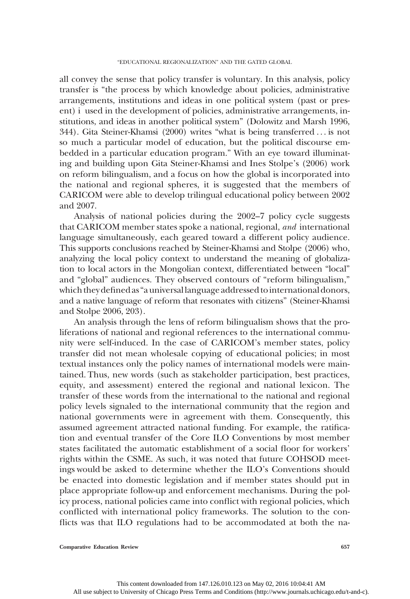all convey the sense that policy transfer is voluntary. In this analysis, policy transfer is "the process by which knowledge about policies, administrative arrangements, institutions and ideas in one political system (past or present) i used in the development of policies, administrative arrangements, institutions, and ideas in another political system" (Dolowitz and Marsh 1996, 344). Gita Steiner-Khamsi (2000) writes "what is being transferred . . . is not so much a particular model of education, but the political discourse embedded in a particular education program." With an eye toward illuminating and building upon Gita Steiner-Khamsi and Ines Stolpe's (2006) work on reform bilingualism, and a focus on how the global is incorporated into the national and regional spheres, it is suggested that the members of CARICOM were able to develop trilingual educational policy between 2002 and 2007.

Analysis of national policies during the 2002–7 policy cycle suggests that CARICOM member states spoke a national, regional, and international language simultaneously, each geared toward a different policy audience. This supports conclusions reached by Steiner-Khamsi and Stolpe (2006) who, analyzing the local policy context to understand the meaning of globalization to local actors in the Mongolian context, differentiated between "local" and "global" audiences. They observed contours of "reform bilingualism," which they defined as"a universallanguage addressed tointernational donors, and a native language of reform that resonates with citizens" (Steiner-Khamsi and Stolpe 2006, 203).

An analysis through the lens of reform bilingualism shows that the proliferations of national and regional references to the international community were self-induced. In the case of CARICOM's member states, policy transfer did not mean wholesale copying of educational policies; in most textual instances only the policy names of international models were maintained. Thus, new words (such as stakeholder participation, best practices, equity, and assessment) entered the regional and national lexicon. The transfer of these words from the international to the national and regional policy levels signaled to the international community that the region and national governments were in agreement with them. Consequently, this assumed agreement attracted national funding. For example, the ratification and eventual transfer of the Core ILO Conventions by most member states facilitated the automatic establishment of a social floor for workers' rights within the CSME. As such, it was noted that future COHSOD meetings would be asked to determine whether the ILO's Conventions should be enacted into domestic legislation and if member states should put in place appropriate follow-up and enforcement mechanisms. During the policy process, national policies came into conflict with regional policies, which conflicted with international policy frameworks. The solution to the conflicts was that ILO regulations had to be accommodated at both the na-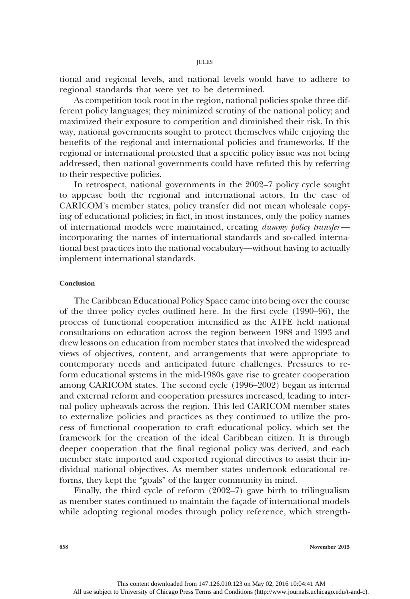tional and regional levels, and national levels would have to adhere to regional standards that were yet to be determined.

As competition took root in the region, national policies spoke three different policy languages; they minimized scrutiny of the national policy; and maximized their exposure to competition and diminished their risk. In this way, national governments sought to protect themselves while enjoying the benefits of the regional and international policies and frameworks. If the regional or international protested that a specific policy issue was not being addressed, then national governments could have refuted this by referring to their respective policies.

In retrospect, national governments in the 2002–7 policy cycle sought to appease both the regional and international actors. In the case of CARICOM's member states, policy transfer did not mean wholesale copying of educational policies; in fact, in most instances, only the policy names of international models were maintained, creating dummy policy transfer incorporating the names of international standards and so-called international best practices into the national vocabulary—without having to actually implement international standards.

# Conclusion

The Caribbean Educational Policy Space came into being over the course of the three policy cycles outlined here. In the first cycle (1990–96), the process of functional cooperation intensified as the ATFE held national consultations on education across the region between 1988 and 1993 and drew lessons on education from member states that involved the widespread views of objectives, content, and arrangements that were appropriate to contemporary needs and anticipated future challenges. Pressures to reform educational systems in the mid-1980s gave rise to greater cooperation among CARICOM states. The second cycle (1996–2002) began as internal and external reform and cooperation pressures increased, leading to internal policy upheavals across the region. This led CARICOM member states to externalize policies and practices as they continued to utilize the process of functional cooperation to craft educational policy, which set the framework for the creation of the ideal Caribbean citizen. It is through deeper cooperation that the final regional policy was derived, and each member state imported and exported regional directives to assist their individual national objectives. As member states undertook educational reforms, they kept the "goals" of the larger community in mind.

Finally, the third cycle of reform (2002–7) gave birth to trilingualism as member states continued to maintain the façade of international models while adopting regional modes through policy reference, which strength-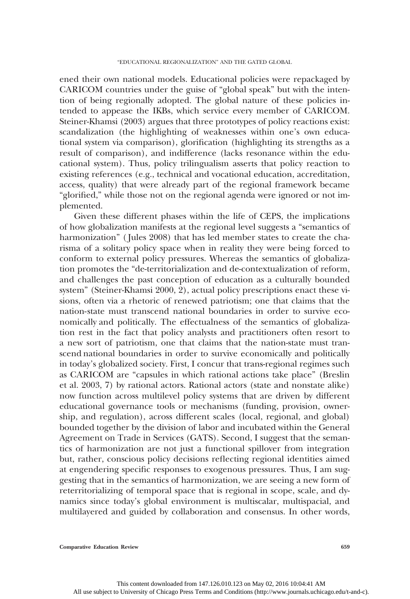ened their own national models. Educational policies were repackaged by CARICOM countries under the guise of "global speak" but with the intention of being regionally adopted. The global nature of these policies intended to appease the IKBs, which service every member of CARICOM. Steiner-Khamsi (2003) argues that three prototypes of policy reactions exist: scandalization (the highlighting of weaknesses within one's own educational system via comparison), glorification (highlighting its strengths as a result of comparison), and indifference (lacks resonance within the educational system). Thus, policy trilingualism asserts that policy reaction to existing references (e.g., technical and vocational education, accreditation, access, quality) that were already part of the regional framework became "glorified," while those not on the regional agenda were ignored or not implemented.

Given these different phases within the life of CEPS, the implications of how globalization manifests at the regional level suggests a "semantics of harmonization" (Jules 2008) that has led member states to create the charisma of a solitary policy space when in reality they were being forced to conform to external policy pressures. Whereas the semantics of globalization promotes the "de-territorialization and de-contextualization of reform, and challenges the past conception of education as a culturally bounded system" (Steiner-Khamsi 2000, 2), actual policy prescriptions enact these visions, often via a rhetoric of renewed patriotism; one that claims that the nation-state must transcend national boundaries in order to survive economically and politically. The effectualness of the semantics of globalization rest in the fact that policy analysts and practitioners often resort to a new sort of patriotism, one that claims that the nation-state must transcend national boundaries in order to survive economically and politically in today's globalized society. First, I concur that trans-regional regimes such as CARICOM are "capsules in which rational actions take place" (Breslin et al. 2003, 7) by rational actors. Rational actors (state and nonstate alike) now function across multilevel policy systems that are driven by different educational governance tools or mechanisms (funding, provision, ownership, and regulation), across different scales (local, regional, and global) bounded together by the division of labor and incubated within the General Agreement on Trade in Services (GATS). Second, I suggest that the semantics of harmonization are not just a functional spillover from integration but, rather, conscious policy decisions reflecting regional identities aimed at engendering specific responses to exogenous pressures. Thus, I am suggesting that in the semantics of harmonization, we are seeing a new form of reterritorializing of temporal space that is regional in scope, scale, and dynamics since today's global environment is multiscalar, multispacial, and multilayered and guided by collaboration and consensus. In other words,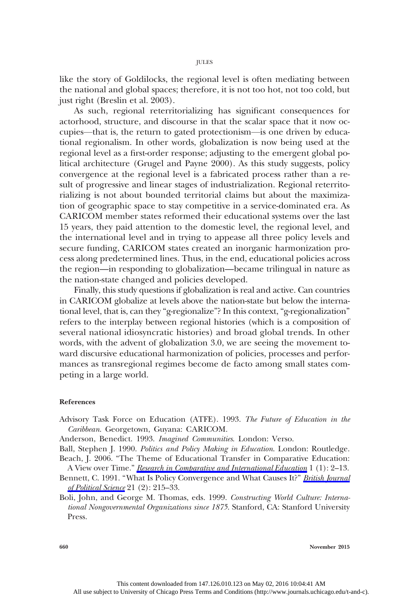like the story of Goldilocks, the regional level is often mediating between the national and global spaces; therefore, it is not too hot, not too cold, but just right (Breslin et al. 2003).

As such, regional reterritorializing has significant consequences for actorhood, structure, and discourse in that the scalar space that it now occupies—that is, the return to gated protectionism—is one driven by educational regionalism. In other words, globalization is now being used at the regional level as a first-order response; adjusting to the emergent global political architecture (Grugel and Payne 2000). As this study suggests, policy convergence at the regional level is a fabricated process rather than a result of progressive and linear stages of industrialization. Regional reterritorializing is not about bounded territorial claims but about the maximization of geographic space to stay competitive in a service-dominated era. As CARICOM member states reformed their educational systems over the last 15 years, they paid attention to the domestic level, the regional level, and the international level and in trying to appease all three policy levels and secure funding, CARICOM states created an inorganic harmonization process along predetermined lines. Thus, in the end, educational policies across the region—in responding to globalization—became trilingual in nature as the nation-state changed and policies developed.

Finally, this study questions if globalization is real and active. Can countries in CARICOM globalize at levels above the nation-state but below the international level, that is, can they "g-regionalize"? In this context, "g-regionalization" refers to the interplay between regional histories (which is a composition of several national idiosyncratic histories) and broad global trends. In other words, with the advent of globalization 3.0, we are seeing the movement toward discursive educational harmonization of policies, processes and performances as transregional regimes become de facto among small states competing in a large world.

# References

- Advisory Task Force on Education (ATFE). 1993. The Future of Education in the Caribbean. Georgetown, Guyana: CARICOM.
- Anderson, Benedict. 1993. Imagined Communities. London: Verso.
- Ball, Stephen J. 1990. Politics and Policy Making in Education. London: Routledge. Beach, J. 2006. "The Theme of Educational Transfer in Comparative Education:

A View over Time." [Research in Comparative and International Education](http://www.journals.uchicago.edu/action/showLinks?crossref=10.2304%2Frcie.2006.1.1.2) 1 (1): 2–13.

- Bennett, C. 1991. "What Is Policy Convergence and What Causes It?" [British Journal](http://www.journals.uchicago.edu/action/showLinks?crossref=10.1017%2FS0007123400006116) [of Political Science](http://www.journals.uchicago.edu/action/showLinks?crossref=10.1017%2FS0007123400006116) 21 (2): 215–33.
- Boli, John, and George M. Thomas, eds. 1999. Constructing World Culture: International Nongovernmental Organizations since 1875. Stanford, CA: Stanford University Press.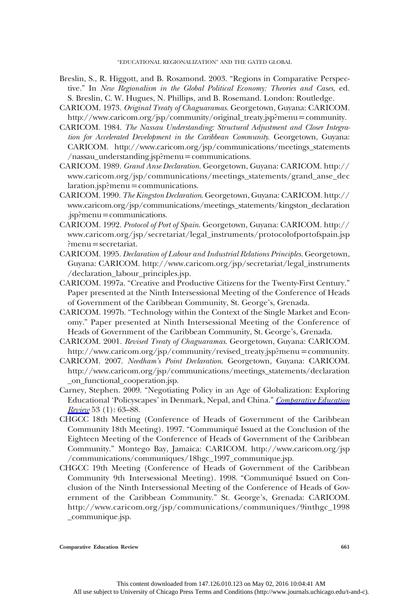"EDUCATIONAL REGIONALIZATION" AND THE GATED GLOBAL

- Breslin, S., R. Higgott, and B. Rosamond. 2003. "Regions in Comparative Perspective." In New Regionalism in the Global Political Economy: Theories and Cases, ed. S. Breslin, C. W. Hugues, N. Phillips, and B. Rosemand. London: Routledge.
- CARICOM. 1973. Original Treaty of Chaguaramas. Georgetown, Guyana: CARICOM. http://www.caricom.org/jsp/community/original\_treaty.jsp?menu=community.
- CARICOM. 1984. The Nassau Understanding: Structural Adjustment and Closer Integration for Accelerated Development in the Caribbean Community. Georgetown, Guyana: CARICOM. http://www.caricom.org/jsp/communications/meetings\_statements  $/$ nassau\_understanding.jsp?menu=communications.
- CARICOM. 1989. Grand Anse Declaration. Georgetown, Guyana: CARICOM. http:// www.caricom.org/jsp/communications/meetings\_statements/grand\_anse\_dec  $laration.jsp?$ menu = communications.
- CARICOM. 1990. The Kingston Declaration. Georgetown, Guyana: CARICOM. http:// www.caricom.org/jsp/communications/meetings\_statements/kingston\_declaration .jsp?menu=communications.
- CARICOM. 1992. Protocol of Port of Spain. Georgetown, Guyana: CARICOM. http:// www.caricom.org/jsp/secretariat/legal\_instruments/protocolofportofspain.jsp  $?$ menu $=$ secretariat.
- CARICOM. 1995. Declaration of Labour and Industrial Relations Principles. Georgetown, Guyana: CARICOM. http://www.caricom.org/jsp/secretariat/legal\_instruments /declaration\_labour\_principles.jsp.
- CARICOM. 1997a. "Creative and Productive Citizens for the Twenty-First Century." Paper presented at the Ninth Intersessional Meeting of the Conference of Heads of Government of the Caribbean Community, St. George's, Grenada.
- CARICOM. 1997b. "Technology within the Context of the Single Market and Economy." Paper presented at Ninth Intersessional Meeting of the Conference of Heads of Government of the Caribbean Community, St. George's, Grenada.
- CARICOM. 2001. Revised Treaty of Chaguaramas. Georgetown, Guyana: CARICOM. http://www.caricom.org/jsp/community/revised\_treaty.jsp?menu=community.
- CARICOM. 2007. Needham's Point Declaration. Georgetown, Guyana: CARICOM. http://www.caricom.org/jsp/communications/meetings\_statements/declaration \_on\_functional\_cooperation.jsp.
- Carney, Stephen. 2009. "Negotiating Policy in an Age of Globalization: Exploring Educational 'Policyscapes' in Denmark, Nepal, and China." [Comparative Education](http://www.journals.uchicago.edu/action/showLinks?system=10.1086%2F593152) [Review](http://www.journals.uchicago.edu/action/showLinks?system=10.1086%2F593152) 53 (1): 63–88.
- CHGCC 18th Meeting (Conference of Heads of Government of the Caribbean Community 18th Meeting). 1997. "Communiqué Issued at the Conclusion of the Eighteen Meeting of the Conference of Heads of Government of the Caribbean Community." Montego Bay, Jamaica: CARICOM. http://www.caricom.org/jsp /communications/communiques/18hgc\_1997\_communique.jsp.
- CHGCC 19th Meeting (Conference of Heads of Government of the Caribbean Community 9th Intersessional Meeting). 1998. "Communiqué Issued on Conclusion of the Ninth Intersessional Meeting of the Conference of Heads of Government of the Caribbean Community." St. George's, Grenada: CARICOM. http://www.caricom.org/jsp/communications/communiques/9inthgc\_1998 \_communique.jsp.

Comparative Education Review 661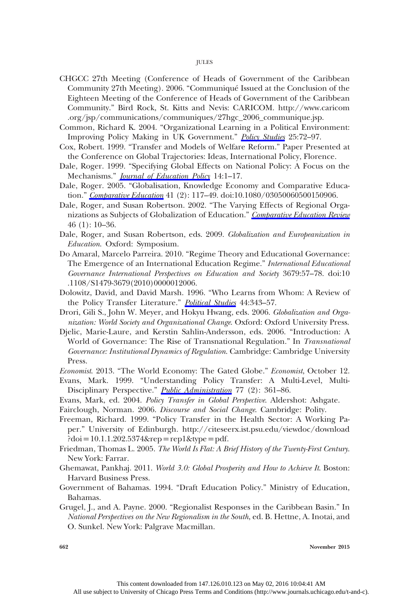- CHGCC 27th Meeting (Conference of Heads of Government of the Caribbean Community 27th Meeting). 2006. "Communiqué Issued at the Conclusion of the Eighteen Meeting of the Conference of Heads of Government of the Caribbean Community." Bird Rock, St. Kitts and Nevis: CARICOM. http://www.caricom .org/jsp/communications/communiques/27hgc\_2006\_communique.jsp.
- Common, Richard K. 2004. "Organizational Learning in a Political Environment: Improving Policy Making in UK Government." [Policy Studies](http://www.journals.uchicago.edu/action/showLinks?crossref=10.1080%2F0144287042000208224) 25:72-97.
- Cox, Robert. 1999. "Transfer and Models of Welfare Reform." Paper Presented at the Conference on Global Trajectories: Ideas, International Policy, Florence.
- Dale, Roger. 1999. "Specifying Global Effects on National Policy: A Focus on the Mechanisms." *[Journal of Education Policy](http://www.journals.uchicago.edu/action/showLinks?crossref=10.1080%2F026809399286468)* 14:1-17.
- Dale, Roger. 2005. "Globalisation, Knowledge Economy and Comparative Educa-tion." [Comparative Education](http://www.journals.uchicago.edu/action/showLinks?crossref=10.1080%2F03050060500150906) 41 (2): 117-49. doi:10.1080/03050060500150906.
- Dale, Roger, and Susan Robertson. 2002. "The Varying Effects of Regional Orga-nizations as Subjects of Globalization of Education." [Comparative Education Review](http://www.journals.uchicago.edu/action/showLinks?system=10.1086%2F324052) 46 (1): 10–36.
- Dale, Roger, and Susan Robertson, eds. 2009. Globalization and Europeanization in Education. Oxford: Symposium.
- Do Amaral, Marcelo Parreira. 2010. "Regime Theory and Educational Governance: The Emergence of an International Education Regime." International Educational Governance International Perspectives on Education and Society 3679:57–78. doi:10 .1108/S1479-3679(2010)0000012006.
- Dolowitz, David, and David Marsh. 1996. "Who Learns from Whom: A Review of the Policy Transfer Literature." [Political Studies](http://www.journals.uchicago.edu/action/showLinks?crossref=10.1111%2Fj.1467-9248.1996.tb00334.x) 44:343-57.
- Drori, Gili S., John W. Meyer, and Hokyu Hwang, eds. 2006. Globalization and Organization: World Society and Organizational Change. Oxford: Oxford University Press.
- Djelic, Marie-Laure, and Kerstin Sahlin-Andersson, eds. 2006. "Introduction: A World of Governance: The Rise of Transnational Regulation." In Transnational Governance: Institutional Dynamics of Regulation. Cambridge: Cambridge University Press.
- Economist. 2013. "The World Economy: The Gated Globe." Economist, October 12.
- Evans, Mark. 1999. "Understanding Policy Transfer: A Multi-Level, Multi-Disciplinary Perspective." *[Public Administration](http://www.journals.uchicago.edu/action/showLinks?crossref=10.1111%2F1467-9299.00158)* 77 (2): 361–86.
- Evans, Mark, ed. 2004. Policy Transfer in Global Perspective. Aldershot: Ashgate.
- Fairclough, Norman. 2006. Discourse and Social Change. Cambridge: Polity.
- Freeman, Richard. 1999. "Policy Transfer in the Health Sector: A Working Paper." University of Edinburgh. http://citeseerx.ist.psu.edu/viewdoc/download  $?doi = 10.1.1.202.5374$ &rep = rep1&type = pdf.
- Friedman, Thomas L. 2005. The World Is Flat: A Brief History of the Twenty-First Century. New York: Farrar.
- Ghemawat, Pankhaj. 2011. World 3.0: Global Prosperity and How to Achieve It. Boston: Harvard Business Press.
- Government of Bahamas. 1994. "Draft Education Policy." Ministry of Education, Bahamas.
- Grugel, J., and A. Payne. 2000. "Regionalist Responses in the Caribbean Basin." In National Perspectives on the New Regionalism in the South, ed. B. Hettne, A. Inotai, and O. Sunkel. New York: Palgrave Macmillan.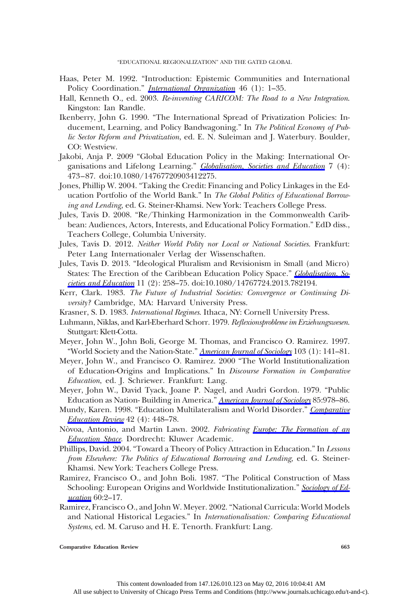- Haas, Peter M. 1992. "Introduction: Epistemic Communities and International Policy Coordination." *[International Organization](http://www.journals.uchicago.edu/action/showLinks?crossref=10.1017%2FS0020818300001442)* 46 (1): 1-35.
- Hall, Kenneth O., ed. 2003. Re-inventing CARICOM: The Road to a New Integration. Kingston: Ian Randle.
- Ikenberry, John G. 1990. "The International Spread of Privatization Policies: Inducement, Learning, and Policy Bandwagoning." In The Political Economy of Public Sector Reform and Privatization, ed. E. N. Suleiman and J. Waterbury. Boulder, CO: Westview.
- Jakobi, Anja P. 2009 "Global Education Policy in the Making: International Organisations and Lifelong Learning." *[Globalisation, Societies and Education](http://www.journals.uchicago.edu/action/showLinks?crossref=10.1080%2F14767720903412275)* 7 (4): 473–87. doi:10.1080/14767720903412275.
- Jones, Phillip W. 2004. "Taking the Credit: Financing and Policy Linkages in the Education Portfolio of the World Bank." In The Global Politics of Educational Borrowing and Lending, ed. G. Steiner-Khamsi. New York: Teachers College Press.
- Jules, Tavis D. 2008. "Re/Thinking Harmonization in the Commonwealth Caribbean: Audiences, Actors, Interests, and Educational Policy Formation." EdD diss., Teachers College, Columbia University.
- Jules, Tavis D. 2012. Neither World Polity nor Local or National Societies. Frankfurt: Peter Lang Internationaler Verlag der Wissenschaften.
- Jules, Tavis D. 2013. "Ideological Pluralism and Revisionism in Small (and Micro) States: The Erection of the Caribbean Education Policy Space." *Globalisation*, So[cieties and Education](http://www.journals.uchicago.edu/action/showLinks?crossref=10.1080%2F14767724.2013.782194) 11 (2): 258–75. doi:10.1080/14767724.2013.782194.
- Kerr, Clark. 1983. The Future of Industrial Societies: Convergence or Continuing Diversity? Cambridge, MA: Harvard University Press.
- Krasner, S. D. 1983. International Regimes. Ithaca, NY: Cornell University Press.
- Luhmann, Niklas, and Karl-Eberhard Schorr. 1979. Reflexionsprobleme im Erziehungswesen. Stuttgart: Klett-Cotta.
- Meyer, John W., John Boli, George M. Thomas, and Francisco O. Ramirez. 1997. "World Society and the Nation-State." [American Journal of Sociology](http://www.journals.uchicago.edu/action/showLinks?system=10.1086%2F231174) 103 (1): 141-81.
- Meyer, John W., and Francisco O. Ramirez. 2000 "The World Institutionalization of Education-Origins and Implications." In Discourse Formation in Comparative Education, ed. J. Schriewer. Frankfurt: Lang.
- Meyer, John W., David Tyack, Joane P. Nagel, and Audri Gordon. 1979. "Public Education as Nation- Building in America." [American Journal of Sociology](http://www.journals.uchicago.edu/action/showLinks?system=10.1086%2F226869) 85:978–86.
- Mundy, Karen. 1998. "Education Multilateralism and World Disorder." [Comparative](http://www.journals.uchicago.edu/action/showLinks?system=10.1086%2F447523) [Education Review](http://www.journals.uchicago.edu/action/showLinks?system=10.1086%2F447523) 42 (4): 448–78.
- Nòvoa, Antonio, and Martin Lawn. 2002. Fabricating [Europe: The Formation of an](http://www.journals.uchicago.edu/action/showLinks?crossref=10.1007%2F0-306-47561-8) [Education Space](http://www.journals.uchicago.edu/action/showLinks?crossref=10.1007%2F0-306-47561-8). Dordrecht: Kluwer Academic.
- Phillips, David. 2004. "Toward a Theory of Policy Attraction in Education." In Lessons from Elsewhere: The Politics of Educational Borrowing and Lending, ed. G. Steiner-Khamsi. New York: Teachers College Press.
- Ramirez, Francisco O., and John Boli. 1987. "The Political Construction of Mass Schooling: European Origins and Worldwide Institutionalization." [Sociology of Ed](http://www.journals.uchicago.edu/action/showLinks?crossref=10.2307%2F2112615)[ucation](http://www.journals.uchicago.edu/action/showLinks?crossref=10.2307%2F2112615) 60:2-17.
- Ramirez, Francisco O., and John W. Meyer. 2002. "National Curricula: World Models and National Historical Legacies." In Internationalisation: Comparing Educational Systems, ed. M. Caruso and H. E. Tenorth. Frankfurt: Lang.

Comparative Education Review 663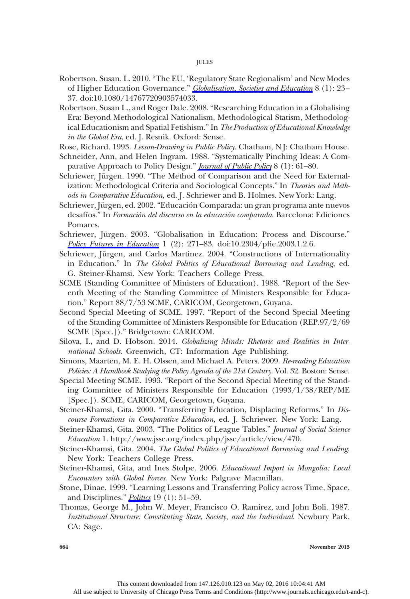#### JULES

- Robertson, Susan. L. 2010. "The EU, 'Regulatory State Regionalism' and New Modes of Higher Education Governance." [Globalisation, Societies and Education](http://www.journals.uchicago.edu/action/showLinks?crossref=10.1080%2F14767720903574033) 8 (1): 23– 37. doi:10.1080/14767720903574033.
- Robertson, Susan L., and Roger Dale. 2008. "Researching Education in a Globalising Era: Beyond Methodological Nationalism, Methodological Statism, Methodological Educationism and Spatial Fetishism." In The Production of Educational Knowledge in the Global Era, ed. J. Resnik. Oxford: Sense.
- Rose, Richard. 1993. Lesson-Drawing in Public Policy. Chatham, N J: Chatham House.
- Schneider, Ann, and Helen Ingram. 1988. "Systematically Pinching Ideas: A Comparative Approach to Policy Design." *[Journal of Public Policy](http://www.journals.uchicago.edu/action/showLinks?crossref=10.1017%2FS0143814X00006851)* 8 (1): 61–80.
- Schriewer, Jürgen. 1990. "The Method of Comparison and the Need for Externalization: Methodological Criteria and Sociological Concepts." In Theories and Methods in Comparative Education, ed. J. Schriewer and B. Holmes. New York: Lang.
- Schriewer, Jürgen, ed. 2002."Educación Comparada: un gran programa ante nuevos desafíos." In Formación del discurso en la educación comparada. Barcelona: Ediciones Pomares.
- Schriewer, Jürgen. 2003. "Globalisation in Education: Process and Discourse." [Policy Futures in Education](http://www.journals.uchicago.edu/action/showLinks?crossref=10.2304%2Fpfie.2003.1.2.6) 1 (2): 271–83. doi:10.2304/pfie.2003.1.2.6.
- Schriewer, Jürgen, and Carlos Martinez. 2004. "Constructions of Internationality in Education." In The Global Politics of Educational Borrowing and Lending, ed. G. Steiner-Khamsi. New York: Teachers College Press.
- SCME (Standing Committee of Ministers of Education). 1988. "Report of the Seventh Meeting of the Standing Committee of Ministers Responsible for Education." Report 88/7/53 SCME, CARICOM, Georgetown, Guyana.
- Second Special Meeting of SCME. 1997. "Report of the Second Special Meeting of the Standing Committee of Ministers Responsible for Education (REP.97/2/69 SCME [Spec.])." Bridgetown: CARICOM.
- Silova, I., and D. Hobson. 2014. Globalizing Minds: Rhetoric and Realities in International Schools. Greenwich, CT: Information Age Publishing.
- Simons, Maarten, M. E. H. Olssen, and Michael A. Peters. 2009. Re-reading Education Policies: A Handbook Studying the Policy Agenda of the 21st Century. Vol. 32. Boston: Sense.
- Special Meeting SCME. 1993. "Report of the Second Special Meeting of the Standing Committee of Ministers Responsible for Education (1993/1/38/REP/ME [Spec.]). SCME, CARICOM, Georgetown, Guyana.
- Steiner-Khamsi, Gita. 2000. "Transferring Education, Displacing Reforms." In Discourse Formations in Comparative Education, ed. J. Schriewer. New York: Lang.
- Steiner-Khamsi, Gita. 2003. "The Politics of League Tables." Journal of Social Science Education 1. http://www.jsse.org/index.php/jsse/article/view/470.
- Steiner-Khamsi, Gita. 2004. The Global Politics of Educational Borrowing and Lending. New York: Teachers College Press.
- Steiner-Khamsi, Gita, and Ines Stolpe. 2006. Educational Import in Mongolia: Local Encounters with Global Forces. New York: Palgrave Macmillan.
- Stone, Dinae. 1999. "Learning Lessons and Transferring Policy across Time, Space, and Disciplines." *[Politics](http://www.journals.uchicago.edu/action/showLinks?crossref=10.1111%2F1467-9256.00086)* 19 $(1)$ : 51–59.
- Thomas, George M., John W. Meyer, Francisco O. Ramirez, and John Boli. 1987. Institutional Structure: Constituting State, Society, and the Individual. Newbury Park, CA: Sage.